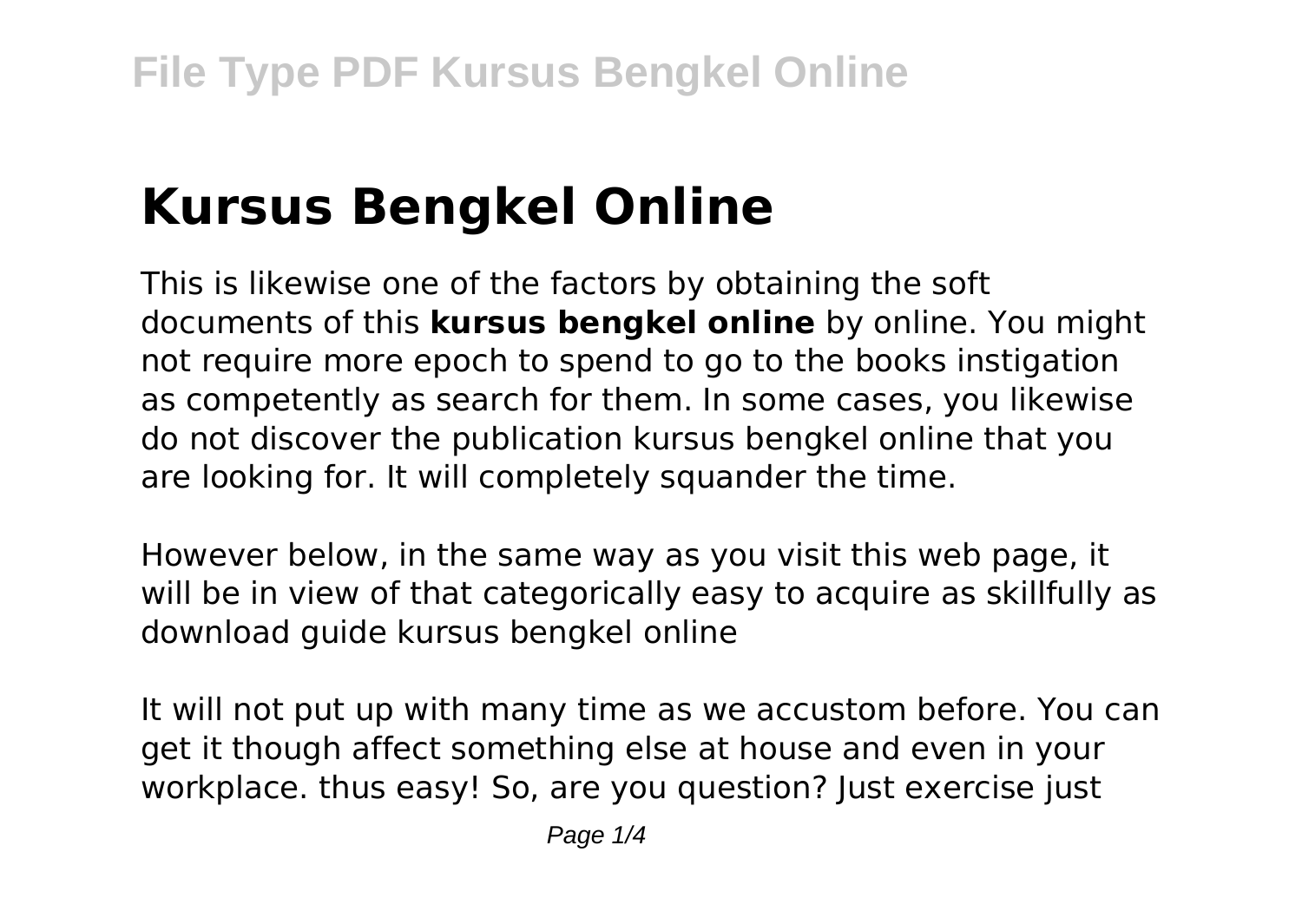# **Kursus Bengkel Online**

This is likewise one of the factors by obtaining the soft documents of this **kursus bengkel online** by online. You might not require more epoch to spend to go to the books instigation as competently as search for them. In some cases, you likewise do not discover the publication kursus bengkel online that you are looking for. It will completely squander the time.

However below, in the same way as you visit this web page, it will be in view of that categorically easy to acquire as skillfully as download guide kursus bengkel online

It will not put up with many time as we accustom before. You can get it though affect something else at house and even in your workplace, thus easy! So, are you question? Just exercise just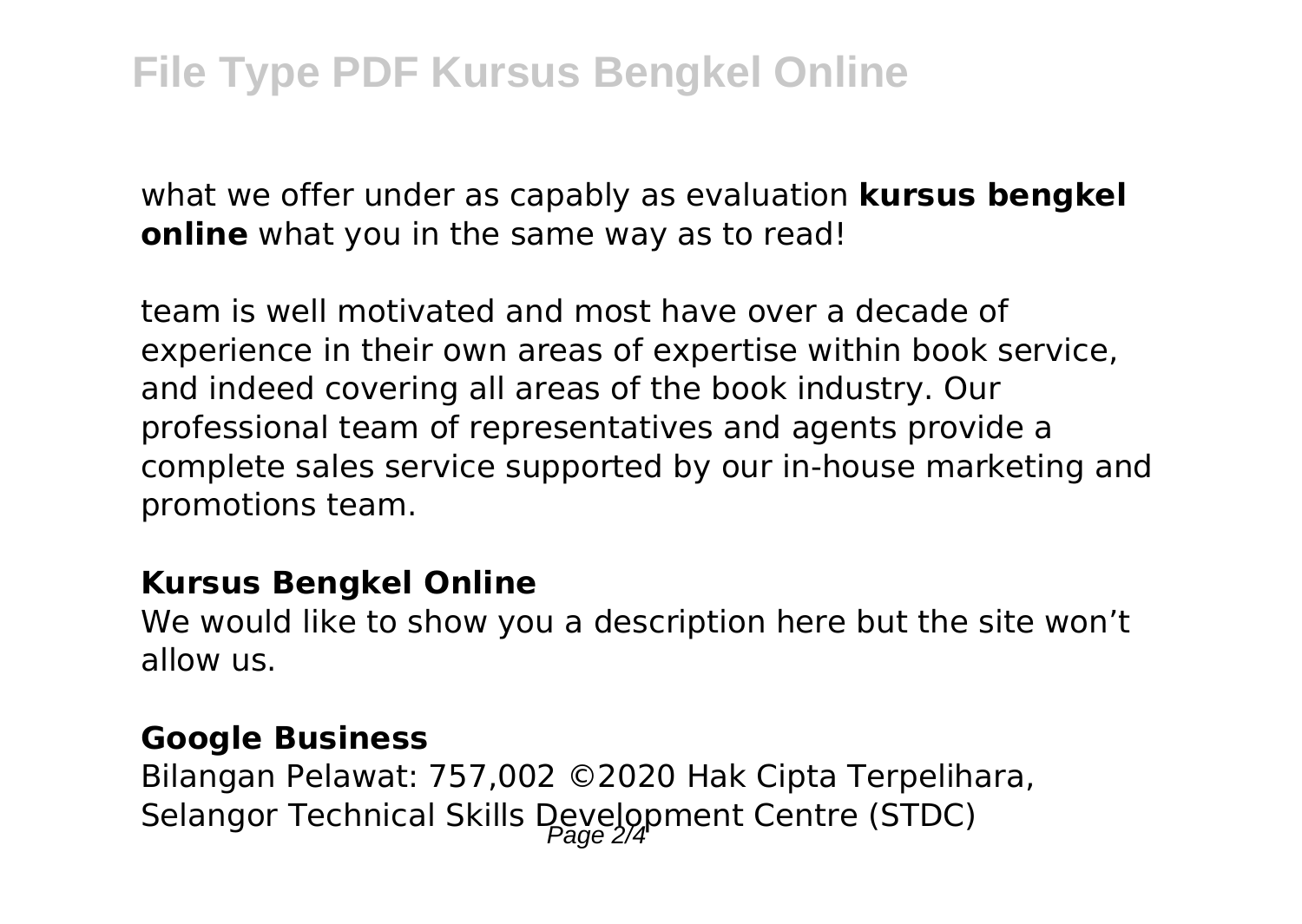what we offer under as capably as evaluation **kursus bengkel online** what you in the same way as to read!

team is well motivated and most have over a decade of experience in their own areas of expertise within book service, and indeed covering all areas of the book industry. Our professional team of representatives and agents provide a complete sales service supported by our in-house marketing and promotions team.

#### **Kursus Bengkel Online**

We would like to show you a description here but the site won't allow us.

#### **Google Business**

Bilangan Pelawat: 757,002 ©2020 Hak Cipta Terpelihara, Selangor Technical Skills Development Centre (STDC)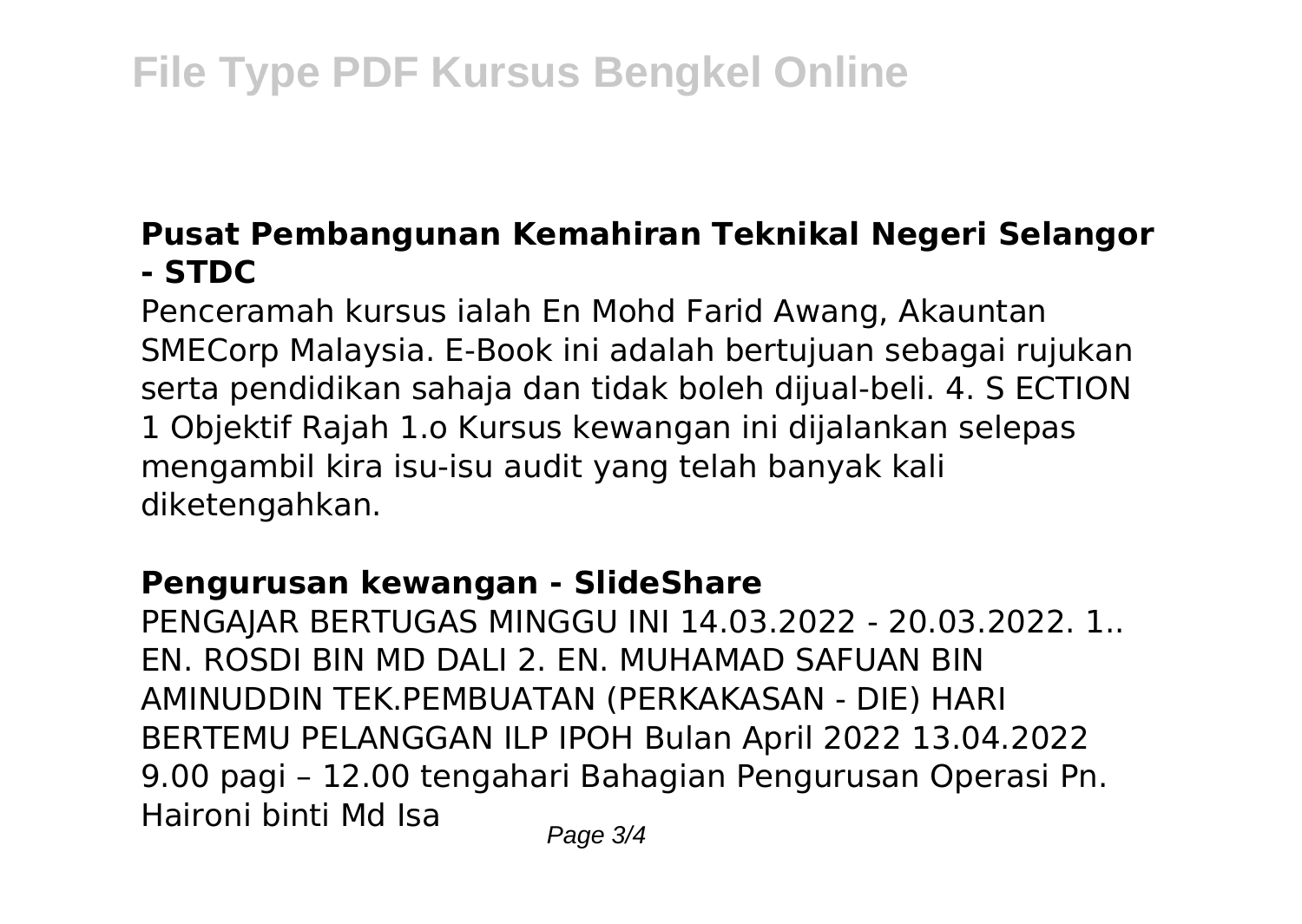# **File Type PDF Kursus Bengkel Online**

# **Pusat Pembangunan Kemahiran Teknikal Negeri Selangor - STDC**

Penceramah kursus ialah En Mohd Farid Awang, Akauntan SMECorp Malaysia. E-Book ini adalah bertujuan sebagai rujukan serta pendidikan sahaja dan tidak boleh dijual-beli. 4. S ECTION 1 Objektif Rajah 1.o Kursus kewangan ini dijalankan selepas mengambil kira isu-isu audit yang telah banyak kali diketengahkan.

## **Pengurusan kewangan - SlideShare**

PENGAJAR BERTUGAS MINGGU INI 14.03.2022 - 20.03.2022. 1.. EN. ROSDI BIN MD DALI 2. EN. MUHAMAD SAFUAN BIN AMINUDDIN TEK.PEMBUATAN (PERKAKASAN - DIE) HARI BERTEMU PELANGGAN ILP IPOH Bulan April 2022 13.04.2022 9.00 pagi – 12.00 tengahari Bahagian Pengurusan Operasi Pn. Haironi binti Md Isa  $P_{\text{face } 3/4}$